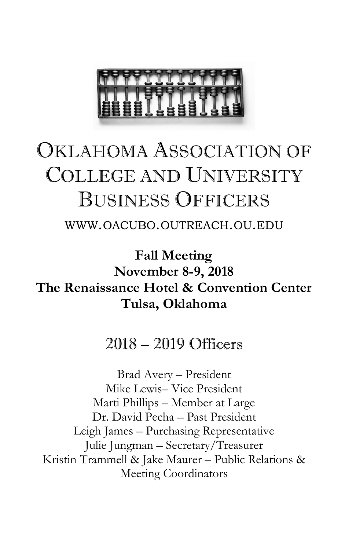

# OKLAHOMA ASSOCIATION OF COLLEGE AND UNIVERSITY BUSINESS OFFICERS

WWW.OACUBO.OUTREACH.OU.EDU

**Fall Meeting November 8-9, 2018 The Renaissance Hotel & Convention Center Tulsa, Oklahoma** 

### 2018 – 2019 Officers

Brad Avery – President Mike Lewis– Vice President Marti Phillips – Member at Large Dr. David Pecha – Past President Leigh James – Purchasing Representative Julie Jungman – Secretary/Treasurer Kristin Trammell & Jake Maurer – Public Relations & Meeting Coordinators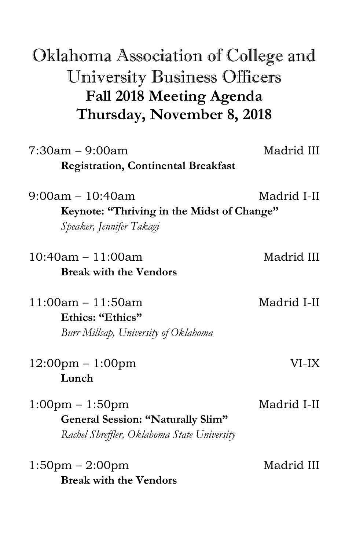## Oklahoma Association of College and University Business Officers **Fall 2018 Meeting Agenda Thursday, November 8, 2018**

| $7:30am - 9:00am$                                                                                                            | Madrid III  |
|------------------------------------------------------------------------------------------------------------------------------|-------------|
| <b>Registration, Continental Breakfast</b>                                                                                   |             |
| $9:00am - 10:40am$<br>Keynote: "Thriving in the Midst of Change"<br>Speaker, Jennifer Takagi                                 | Madrid I-II |
| $10:40am - 11:00am$<br><b>Break with the Vendors</b>                                                                         | Madrid III  |
| $11:00am - 11:50am$<br>Ethics: "Ethics"<br>Burr Millsap, University of Oklahoma                                              | Madrid I-II |
| $12:00 \text{pm} - 1:00 \text{pm}$<br>Lunch                                                                                  | VI-IX       |
| $1:00 \text{pm} - 1:50 \text{pm}$<br><b>General Session: "Naturally Slim"</b><br>Rachel Shreffler, Oklahoma State University | Madrid I-II |
| $1:50$ pm – $2:00$ pm<br><b>Break with the Vendors</b>                                                                       | Madrid III  |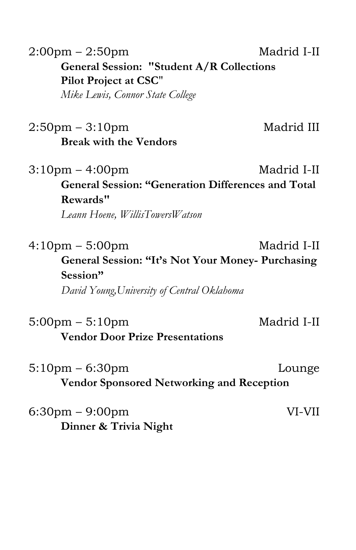| $2:00 \text{pm} - 2:50 \text{pm}$                | Madrid I-II |
|--------------------------------------------------|-------------|
| <b>General Session: "Student A/R Collections</b> |             |
| <b>Pilot Project at CSC"</b>                     |             |
| Mike Lewis, Connor State College                 |             |

2:50pm – 3:10pm Madrid III **Break with the Vendors**

 $3:10 \text{pm} - 4:00 \text{pm}$  Madrid I-II **General Session: "Generation Differences and Total Rewards"**

*Leann Hoene, WillisTowersWatson*

 $4:10 \text{pm} - 5:00 \text{pm}$  Madrid I-II **General Session: "It's Not Your Money- Purchasing Session"** *David Young,University of Central Oklahoma* 

5:00pm – 5:10pm Madrid I-II **Vendor Door Prize Presentations** 

5:10pm – 6:30pm Lounge **Vendor Sponsored Networking and Reception** 

6:30pm – 9:00pm VI-VII **Dinner & Trivia Night**